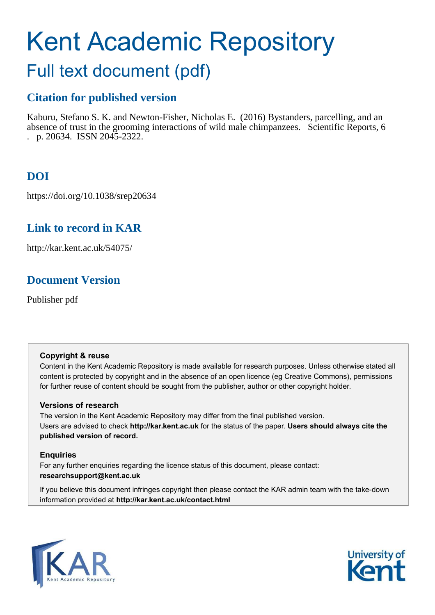# Kent Academic Repository

## Full text document (pdf)

## **Citation for published version**

Kaburu, Stefano S. K. and Newton-Fisher, Nicholas E. (2016) Bystanders, parcelling, and an absence of trust in the grooming interactions of wild male chimpanzees. Scientific Reports, 6 . p. 20634. ISSN 2045-2322.

## **DOI**

https://doi.org/10.1038/srep20634

## **Link to record in KAR**

http://kar.kent.ac.uk/54075/

## **Document Version**

Publisher pdf

## **Copyright & reuse**

Content in the Kent Academic Repository is made available for research purposes. Unless otherwise stated all content is protected by copyright and in the absence of an open licence (eg Creative Commons), permissions for further reuse of content should be sought from the publisher, author or other copyright holder.

## **Versions of research**

The version in the Kent Academic Repository may differ from the final published version. Users are advised to check **http://kar.kent.ac.uk** for the status of the paper. **Users should always cite the published version of record.**

## **Enquiries**

For any further enquiries regarding the licence status of this document, please contact: **researchsupport@kent.ac.uk**

If you believe this document infringes copyright then please contact the KAR admin team with the take-down information provided at **http://kar.kent.ac.uk/contact.html**



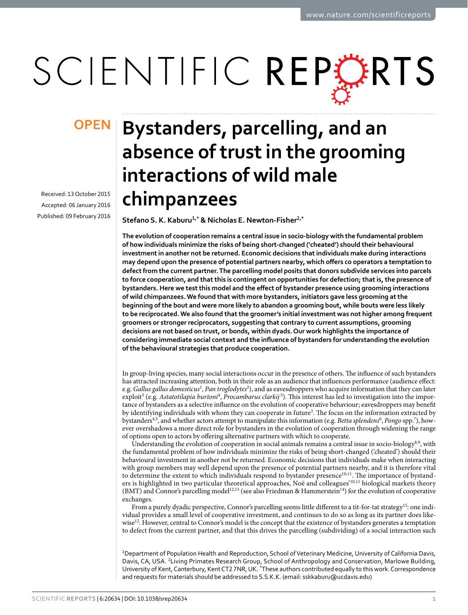# SCIENTIFIC REPERTS

Received: 13 October 2015 Accepted: 06 January 2016 Published: 09 February 2016

# **Bystanders, parcelling, and an OPENabsence of trust in the grooming interactions of wild male chimpanzees**

**Stefano S. K. Kaburu<sup>の</sup>,\* & Nicholas E. Newton-Fisher<sup>は</sup>,\***

**The evolution of cooperation remains a central issue in socio-biology with the fundamental problem**  of how individuals minimize the risks of being short-changed ('cheated') should their behavioural **investment in another not be returned. Economic decisions that individuals make during interactions**  may depend upon the presence of potential partners nearby, which offers co operators a temptation to **defect from the current partner. The parcelling model posits that donors subdivide services into parcels to force cooperation, and that this is contingent on opportunities for defection; that is, the presence of**  bystanders. Here we test this model and the effect of bystander presence using grooming interactions **of wild chimpanzees. We found that with more bystanders, initiators gave less grooming at the beginning of the bout and were more likely to abandon a grooming bout, while bouts were less likely to be reciprocated. We also found that the groomerís initial investment was not higher among frequent groomers or stronger reciprocators, suggesting that contrary to current assumptions, grooming decisions are not based on trust, or bonds, within dyads. Our work highlights the importance of**  considering immediate social context and the influence of bystanders for understanding the evolution **of the behavioural strategies that produce cooperation.**

In group-living species, many social interactions occur in the presence of others. The influence of such bystanders has attracted increasing attention, both in their role as an audience that inluences performance (audience efect: e.g. Gallus gallus domesticus<sup>[1](#page-7-0)</sup>, Pan troglodytes<sup>[2](#page-7-1)</sup>), and as eavesdroppers who acquire information that they can later exploit<sup>[3](#page-7-2)</sup> (e.g. Astatotilapia burtoni<sup>[4](#page-7-3)</sup>, Procambarus clarkij<sup>[5](#page-7-4)</sup>). This interest has led to investigation into the importance of bystanders as a selective inluence on the evolution of cooperative behaviour; eavesdroppers may beneit by identifying individuals with whom they can cooperate in future<sup>[3](#page-7-2)</sup>. The focus on the information extracted by bystanders<sup>[4,](#page-7-3)[5](#page-7-4)</sup>, and whether actors attempt to manipulate this information (e.g. Betta splendens<sup>[6](#page-7-5)</sup>, Pongo spp.<sup>[7](#page-7-6)</sup>), however overshadows a more direct role for bystanders in the evolution of cooperation through widening the range of options open to actors by ofering alternative partners with which to cooperate.

Understanding the evolution of cooperation in social animals remains a central issue in socio-biology<sup>[8,](#page-7-7)[9](#page-7-8)</sup>, with the fundamental problem of how individuals minimize the risks of being short-changed ('cheated') should their behavioural investment in another not be returned. Economic decisions that individuals make when interacting with group members may well depend upon the presence of potential partners nearby, and it is therefore vital to determine the extent to which individuals respond to bystander presence<sup>[10,](#page-7-9)[11](#page-7-10)</sup>. The importance of bystanders is highlighted in two particular theoretical approaches, Noë and colleagues'[10](#page-7-9),[11](#page-7-10) biological markets theory (BMT) and Connor's parcelling model[12,](#page-7-11)[13](#page-7-12) (see also Friedman & Hammerstein[14](#page-7-13)) for the evolution of cooperative exchanges.

From a purely dyadic perspective, Connor's parcelling seems little different to a tit-for-tat strategy<sup>[15](#page-7-14)</sup>: one individual provides a small level of cooperative investment, and continues to do so as long as its partner does like-wise<sup>[12](#page-7-11)</sup>. However, central to Connor's model is the concept that the existence of bystanders generates a temptation to defect from the current partner, and that this drives the parcelling (subdividing) of a social interaction such

<sup>1</sup>Department of Population Health and Reproduction, School of Veterinary Medicine, University of California Davis, Davis, CA, USA. <sup>2</sup>Living Primates Research Group, School of Anthropology and Conservation, Marlowe Building, University of Kent, Canterbury, Kent CT2 7NR, UK. \*These authors contributed equally to this work. Correspondence and requests for materials should be addressed to S.S.K.K. (email: [sskkaburu@ucdavis.edu\)](mailto:sskkaburu@ucdavis.edu)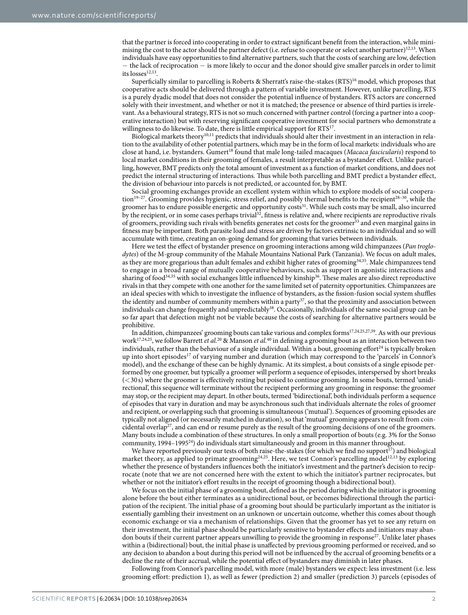that the partner is forced into cooperating in order to extract signiicant beneit from the interaction, while mini-mising the cost to the actor should the partner defect (i.e. refuse to cooperate or select another partner)<sup>[12](#page-7-11)[,13](#page-7-12)</sup>. When individuals have easy opportunities to find alternative partners, such that the costs of searching are low, defection − the lack of reciprocation − is more likely to occur and the donor should give smaller parcels in order to limit its  $losses^{12,13}$  $losses^{12,13}$  $losses^{12,13}$  $losses^{12,13}$ .

Superficially similar to parcelling is Roberts & Sherratt's raise-the-stakes (RTS)<sup>[16](#page-8-0)</sup> model, which proposes that cooperative acts should be delivered through a pattern of variable investment. However, unlike parcelling, RTS is a purely dyadic model that does not consider the potential inluence of bystanders. RTS actors are concerned solely with their investment, and whether or not it is matched; the presence or absence of third parties is irrelevant. As a behavioural strategy, RTS is not so much concerned with partner control (forcing a partner into a cooperative interaction) but with reserving signiicant cooperative investment for social partners who demonstrate a willingness to do likewise. To date, there is little empirical support for RTS<sup>[17](#page-8-1)</sup>.

Biological markets theory[10](#page-7-9),[11](#page-7-10) predicts that individuals should alter their investment in an interaction in relation to the availability of other potential partners, which may be in the form of local markets: individuals who are close at hand, i.e. bystanders. Gumert<sup>[18](#page-8-2)</sup> found that male long-tailed macaques (Macaca fascicularis) respond to local market conditions in their grooming of females, a result interpretable as a bystander efect. Unlike parcelling, however, BMT predicts only the total amount of investment as a function of market conditions, and does not predict the internal structuring of interactions. Thus while both parcelling and BMT predict a bystander effect, the division of behaviour into parcels is not predicted, or accounted for, by BMT.

Social grooming exchanges provide an excellent system within which to explore models of social coopera-tion<sup>[19–27](#page-8-3)</sup>. Grooming provides hygienic, stress relief, and possibly thermal benefits to the recipient<sup>[28–30](#page-8-4)</sup>, while the groomer has to endure possible energetic and opportunity costs<sup>[31](#page-8-5)</sup>. While such costs may be small, also incurred by the recipient, or in some cases perhaps trivial $^{32}$  $^{32}$  $^{32}$ , fitness is relative and, where recipients are reproductive rivals of groomers, providing such rivals with benefits generates net costs for the groomer<sup>[33](#page-8-7)</sup> and even marginal gains in fitness may be important. Both parasite load and stress are driven by factors extrinsic to an individual and so will accumulate with time, creating an on-going demand for grooming that varies between individuals.

Here we test the effect of bystander presence on grooming interactions among wild chimpanzees (Pan troglodytes) of the M-group community of the Mahale Mountains National Park (Tanzania). We focus on adult males, as they are more gregarious than adult females and exhibit higher rates of grooming<sup>[34](#page-8-8),[35](#page-8-9)</sup>. Male chimpanzees tend to engage in a broad range of mutually cooperative behaviours, such as support in agonistic interactions and sharing of food<sup>[34](#page-8-8),[35](#page-8-9)</sup> with social exchanges little influenced by kinship<sup>[36](#page-8-10)</sup>. These males are also direct reproductive rivals in that they compete with one another for the same limited set of paternity opportunities. Chimpanzees are an ideal species with which to investigate the influence of bystanders, as the fission-fusion social system shuffles the identity and number of community members within a party<sup>[37](#page-8-11)</sup>, so that the proximity and association between individuals can change frequently and unpredictably<sup>[38](#page-8-12)</sup>. Occasionally, individuals of the same social group can be so far apart that defection might not be viable because the costs of searching for alternative partners would be prohibitive.

In addition, chimpanzees' grooming bouts can take various and complex forms[17](#page-8-1)[,24](#page-8-13)[,25](#page-8-14)[,27,](#page-8-15)[39](#page-8-16). As with our previous work<sup>[17,](#page-8-1)[24,](#page-8-13)[25](#page-8-14)</sup>, we follow Barrett et al.<sup>[20](#page-8-17)</sup> & Manson et al.<sup>[40](#page-8-18)</sup> in defining a grooming bout as an interaction between two individuals, rather than the behaviour of a single individual. Within a bout, grooming effort<sup>[24](#page-8-13)</sup> is typically broken up into short episodes<sup>[17](#page-8-1)</sup> of varying number and duration (which may correspond to the 'parcels' in Connor's model), and the exchange of these can be highly dynamic. At its simplest, a bout consists of a single episode performed by one groomer, but typically a groomer will perform a sequence of episodes, interspersed by short breaks (< 30 s) where the groomer is efectively resting but poised to continue grooming. In some bouts, termed 'unidirectional', this sequence will terminate without the recipient performing any grooming in response: the groomer may stop, or the recipient may depart. In other bouts, termed 'bidirectional', both individuals perform a sequence of episodes that vary in duration and may be asynchronous such that individuals alternate the roles of groomer and recipient, or overlapping such that grooming is simultaneous ('mutual'). Sequences of grooming episodes are typically not aligned (or necessarily matched in duration), so that 'mutual' grooming appears to result from coin-cidental overlap<sup>[27](#page-8-15)</sup>, and can end or resume purely as the result of the grooming decisions of one of the groomers. Many bouts include a combination of these structures. In only a small proportion of bouts (e.g. 3% for the Sonso community, 1994–1995[24](#page-8-13)) do individuals start simultaneously and groom in this manner throughout.

We have reported previously our tests of both raise-the-stakes (for which we find no support<sup>[17](#page-8-1)</sup>) and biological market theory, as applied to primate grooming<sup>[24](#page-8-13)[,25](#page-8-14)</sup>. Here, we test Connor's parcelling model<sup>[12](#page-7-11)[,13](#page-7-12)</sup> by exploring whether the presence of bystanders inluences both the initiator's investment and the partner's decision to reciprocate (note that we are not concerned here with the extent to which the initiator's partner reciprocates, but whether or not the initiator's effort results in the receipt of grooming though a bidirectional bout).

We focus on the initial phase of a grooming bout, deined as the period during which the initiator is grooming alone before the bout either terminates as a unidirectional bout, or becomes bidirectional through the participation of the recipient. he initial phase of a grooming bout should be particularly important as the initiator is essentially gambling their investment on an unknown or uncertain outcome, whether this comes about though economic exchange or via a mechanism of relationships. Given that the groomer has yet to see any return on their investment, the initial phase should be particularly sensitive to bystander efects and initiators may aban-don bouts if their current partner appears unwilling to provide the grooming in response<sup>[27](#page-8-15)</sup>. Unlike later phases within a (bidirectional) bout, the initial phase is unafected by previous grooming performed or received, and so any decision to abandon a bout during this period will not be influenced by the accrual of grooming benefits or a decline the rate of their accrual, while the potential efect of bystanders may diminish in later phases.

Following from Connor's parcelling model, with more (male) bystanders we expect: less investment (i.e. less grooming efort: prediction 1), as well as fewer (prediction 2) and smaller (prediction 3) parcels (episodes of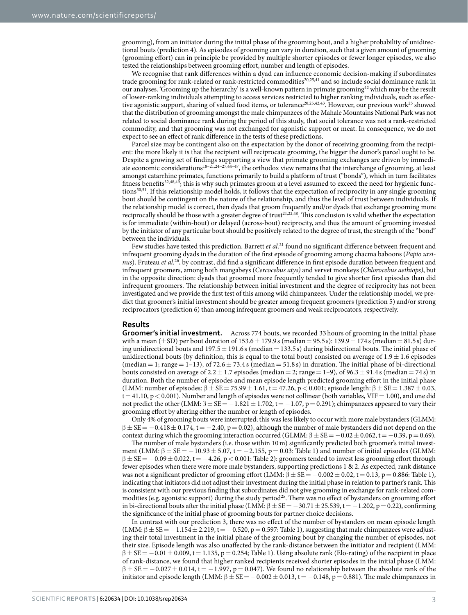<span id="page-3-0"></span>grooming), from an initiator during the initial phase of the grooming bout, and a higher probability of unidirectional bouts (prediction 4). As episodes of grooming can vary in duration, such that a given amount of grooming (grooming efort) can in principle be provided by multiple shorter episodes or fewer longer episodes, we also tested the relationships between grooming efort, number and length of episodes.

We recognise that rank diferences within a dyad can inluence economic decision-making if subordinates trade grooming for rank-related or rank-restricted commodities<sup>[20,](#page-8-17)[25,](#page-8-14)[41](#page-8-19)</sup> and so include social dominance rank in our analyses. 'Grooming up the hierarchy' is a well-known pattern in primate grooming<sup>[42](#page-8-20)</sup> which may be the result of lower-ranking individuals attempting to access services restricted to higher ranking individuals, such as efec-tive agonistic support, sharing of valued food items, or tolerance<sup>[20](#page-8-17),[25](#page-8-14),[42](#page-8-20),[43](#page-8-21)</sup>. However, our previous work<sup>25</sup> showed that the distribution of grooming amongst the male chimpanzees of the Mahale Mountains National Park was not related to social dominance rank during the period of this study, that social tolerance was not a rank-restricted commodity, and that grooming was not exchanged for agonistic support or meat. In consequence, we do not expect to see an efect of rank diference in the tests of these predictions.

<span id="page-3-1"></span>Parcel size may be contingent also on the expectation by the donor of receiving grooming from the recipient: the more likely it is that the recipient will reciprocate grooming, the bigger the donor's parcel ought to be. Despite a growing set of indings supporting a view that primate grooming exchanges are driven by immedi-ate economic considerations<sup>[18–21](#page-8-2),[24–27](#page-8-13),[44–47](#page-8-22)</sup>, the orthodox view remains that the interchange of grooming, at least amongst catarrhine primates, functions primarily to build a platform of trust ("bonds"), which in turn facilitates fitness benefits<sup>[32](#page-8-6)[,48](#page-8-23)[,49](#page-8-24)</sup>; this is why such primates groom at a level assumed to exceed the need for hygienic functions[50,](#page-8-25)[51](#page-8-26). If this relationship model holds, it follows that the expectation of reciprocity in any single grooming bout should be contingent on the nature of the relationship, and thus the level of trust between individuals. If the relationship model is correct, then dyads that groom frequently and/or dyads that exchange grooming more reciprocally should be those with a greater degree of trust<sup>[21](#page-8-27),[22](#page-8-28),[48](#page-8-23)</sup>. This conclusion is valid whether the expectation is for immediate (within-bout) or delayed (across-bout) reciprocity, and thus the amount of grooming invested by the initiator of any particular bout should be positively related to the degree of trust, the strength of the "bond" between the individuals.

Few studies have tested this prediction. Barrett et al.<sup>[21](#page-8-27)</sup> found no significant difference between frequent and infrequent grooming dyads in the duration of the first episode of grooming among chacma baboons (Papio ursi-nus). Fruteau et al.<sup>[26](#page-8-29)</sup>, by contrast, did find a significant difference in first episode duration between frequent and infrequent groomers, among both mangabeys (Cercocebus atys) and vervet monkeys (Chlorocebus aethiops), but in the opposite direction: dyads that groomed more frequently tended to give shorter irst episodes than did infrequent groomers. he relationship between initial investment and the degree of reciprocity has not been investigated and we provide the irst test of this among wild chimpanzees. Under the relationship model, we predict that groomer's initial investment should be greater among frequent groomers (prediction 5) and/or strong reciprocators (prediction 6) than among infrequent groomers and weak reciprocators, respectively.

## **Results**

**Groomerís initial investment.** Across 774 bouts, we recorded 33 hours of grooming in the initial phase with a mean  $(\pm SD)$  per bout duration of 153.6  $\pm$  179.9 s (median = 95.5 s): 139.9  $\pm$  174 s (median = 81.5 s) during unidirectional bouts and  $197.5 \pm 191.6$  s (median = 133.5 s) during bidirectional bouts. The initial phase of unidirectional bouts (by definition, this is equal to the total bout) consisted on average of  $1.9 \pm 1.6$  episodes (median = 1; range = 1–13), of 72.6  $\pm$  73.4 s (median = 51.8 s) in duration. The initial phase of bi-directional bouts consisted on average of  $2.2 \pm 1.7$  episodes (median = 2; range = 1-9), of  $96.3 \pm 91.4$  s (median = 74 s) in duration. Both the number of episodes and mean episode length predicted grooming efort in the initial phase (LMM: number of episodes:  $\beta \pm SE = 75.99 \pm 1.61$ , t = 47.26, p < 0.001; episode length:  $\beta \pm SE = 1.387 \pm 0.03$ ,  $t = 41.10$ ,  $p < 0.001$ ). Number and length of episodes were not collinear (both variables, VIF = 1.00), and one did not predict the other (LMM:  $\beta \pm SE = -1.821 \pm 1.702$ , t = -1.07, p = 0.291); chimpanzees appeared to vary their grooming efort by altering either the number or length of episodes.

Only 4% of grooming bouts were interrupted; this was less likely to occur with more male bystanders (GLMM:  $\beta \pm SE = -0.418 \pm 0.174$ , t = -2.40, p = 0.02), although the number of male bystanders did not depend on the context during which the grooming interaction occurred (GLMM:  $\beta \pm SE = -0.02 \pm 0.062$ , t = -0.39, p = 0.69).

The number of male bystanders (i.e. those within 10 m) significantly predicted both groomer's initial investment (LMM:  $\beta \pm SE = -10.93 \pm 5.07$ , t = -2.155, p = 0.03: [Table 1](#page-3-0)) and number of initial episodes (GLMM:  $\beta \pm SE = -0.09 \pm 0.022$ , t =  $-4.26$ , p < 0.001: [Table 2](#page-3-1)): groomers tended to invest less grooming effort through fewer episodes when there were more male bystanders, supporting predictions 1 & 2. As expected, rank distance was not a significant predictor of grooming effort (LMM:  $\beta \pm SE = -0.002 \pm 0.02$ , t = 0.13, p = 0.886: [Table 1](#page-3-0)), indicating that initiators did not adjust their investment during the initial phase in relation to partner's rank. This is consistent with our previous finding that subordinates did not give grooming in exchange for rank-related com-modities (e.g. agonistic support) during the study period<sup>[25](#page-8-14)</sup>. There was no effect of bystanders on grooming effort in bi-directional bouts after the initial phase (LMM:  $\beta \pm SE = -30.71 \pm 25.539$ , t =  $-1.202$ , p = 0.22), confirming the signiicance of the initial phase of grooming bouts for partner choice decisions.

In contrast with our prediction 3, there was no efect of the number of bystanders on mean episode length  $(LMM: \beta \pm SE = -1.154 \pm 2.219, t = -0.520, p = 0.597$ : [Table 1\)](#page-3-0), suggesting that male chimpanzees were adjusting their total investment in the initial phase of the grooming bout by changing the number of episodes, not their size. Episode length was also unafected by the rank-distance between the initiator and recipient (LMM:  $\beta \pm SE = -0.01 \pm 0.009$ , t = 1.135, p = 0.254; [Table 1\)](#page-3-0). Using absolute rank (Elo-rating) of the recipient in place of rank-distance, we found that higher ranked recipients received shorter episodes in the initial phase (LMM:  $\beta \pm SE = -0.027 \pm 0.014$ , t = -1.997, p = 0.047). We found no relationship between the absolute rank of the initiator and episode length (LMM:  $\beta \pm SE = -0.002 \pm 0.013$ , t =  $-0.148$ , p = 0.881). The male chimpanzees in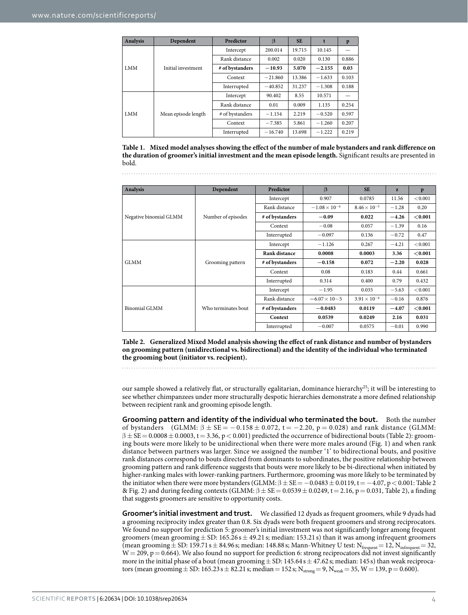| Analysis   | Dependent           | Predictor       | β         | <b>SE</b> |          | p     |
|------------|---------------------|-----------------|-----------|-----------|----------|-------|
| <b>LMM</b> | Initial investment  | Intercept       | 200.014   | 19.715    | 10.145   |       |
|            |                     | Rank distance   | 0.002     | 0.020     | 0.130    | 0.886 |
|            |                     | # of bystanders | $-10.93$  | 5.070     | $-2.155$ | 0.03  |
|            |                     | Context         | $-21.860$ | 13.386    | $-1.633$ | 0.103 |
|            |                     | Interrupted     | $-40.852$ | 31.237    | $-1.308$ | 0.188 |
| <b>LMM</b> | Mean episode length | Intercept       | 90.402    | 8.55      | 10.571   |       |
|            |                     | Rank distance   | 0.01      | 0.009     | 1.135    | 0.254 |
|            |                     | # of bystanders | $-1.154$  | 2.219     | $-0.520$ | 0.597 |
|            |                     | Context         | $-7.385$  | 5.861     | $-1.260$ | 0.207 |
|            |                     | Interrupted     | $-16.740$ | 13.698    | $-1.222$ | 0.219 |

**Table 1. Mixed model analyses showing the efect of the number of male bystanders and rank diference on the duration of groomer's initial investment and the mean episode length.** Signiicant results are presented in bold.

<span id="page-4-0"></span>

| Analysis               | Dependent           | Predictor       | $\beta$               | <b>SE</b>             | $\mathbf{z}$ | $\mathbf{p}$ |
|------------------------|---------------------|-----------------|-----------------------|-----------------------|--------------|--------------|
|                        | Number of episodes  | Intercept       | 0.907                 | 0.0785                | 11.56        | < 0.001      |
|                        |                     | Rank distance   | $-1.08\times10^{-4}$  | $8.46 \times 10^{-5}$ | $-1.28$      | 0.20         |
| Negative binomial GLMM |                     | # of bystanders | $-0.09$               | 0.022                 | $-4.26$      | ${<}0.001$   |
|                        |                     | Context         | $-0.08$               | 0.057                 | $-1.39$      | 0.16         |
|                        |                     | Interrupted     | $-0.097$              | 0.136                 | $-0.72$      | 0.47         |
|                        | Grooming pattern    | Intercept       | $-1.126$              | 0.267                 | $-4.21$      | < 0.001      |
|                        |                     | Rank distance   | 0.0008                | 0.0003                | 3.36         | ${<}0.001$   |
| <b>GLMM</b>            |                     | # of bystanders | $-0.158$              | 0.072                 | $-2.20$      | 0.028        |
|                        |                     | Context         | 0.08                  | 0.183                 | 0.44         | 0.661        |
|                        |                     | Interrupted     | 0.314                 | 0.400                 | 0.79         | 0.432        |
|                        | Who terminates bout | Intercept       | $-1.95$               | 0.035                 | $-5.63$      | < 0.001      |
|                        |                     | Rank distance   | $-6.07 \times 10 - 5$ | $3.91 \times 10^{-4}$ | $-0.16$      | 0.876        |
| <b>Binomial GLMM</b>   |                     | # of bystanders | $-0.0483$             | 0.0119                | $-4.07$      | ${<}0.001$   |
|                        |                     | Context         | 0.0539                | 0.0249                | 2.16         | 0.031        |
|                        |                     | Interrupted     | $-0.007$              | 0.0575                | $-0.01$      | 0.990        |

**Table 2. Generalized Mixed Model analysis showing the efect of rank distance and number of bystanders on grooming pattern (unidirectional vs. bidirectional) and the identity of the individual who terminated the grooming bout (initiator vs. recipient).**

<span id="page-4-1"></span>our sample showed a relatively flat, or structurally egalitarian, dominance hierarchy<sup>[25](#page-8-14)</sup>; it will be interesting to see whether chimpanzees under more structurally despotic hierarchies demonstrate a more deined relationship between recipient rank and grooming episode length.

**Grooming pattern and identity of the individual who terminated the bout.** Both the number of bystanders (GLMM:  $\beta \pm SE = -0.158 \pm 0.072$ , t = -2.20, p = 0.028) and rank distance (GLMM:  $\beta \pm \text{SE} = 0.0008 \pm 0.0003$ , t = 3.36, p < 0.001) predicted the occurrence of bidirectional bouts ([Table 2](#page-3-1)): grooming bouts were more likely to be unidirectional when there were more males around ([Fig. 1\)](#page-4-0) and when rank distance between partners was larger. Since we assigned the number '1' to bidirectional bouts, and positive rank distances correspond to bouts directed from dominants to subordinates, the positive relationship between grooming pattern and rank diference suggests that bouts were more likely to be bi-directional when initiated by higher-ranking males with lower-ranking partners. Furthermore, grooming was more likely to be terminated by the initiator when there were more bystanders (GLMM:  $\beta \pm SE = -0.0483 \pm 0.0119$ , t =  $-4.07$ , p < 0.001: Table 2 & [Fig. 2\)](#page-4-1) and during feeding contexts (GLMM:  $\beta$  ± SE = 0.0539 ± 0.0249, t = 2.16, p = 0.031, [Table 2\)](#page-3-1), a finding that suggests groomers are sensitive to opportunity costs.

Groomer's initial investment and trust. We classified 12 dyads as frequent groomers, while 9 dyads had a grooming reciprocity index greater than 0.8. Six dyads were both frequent groomers and strong reciprocators. We found no support for prediction 5: groomer's initial investment was not signiicantly longer among frequent groomers (mean grooming  $\pm$  SD: 165.26 s  $\pm$  49.21 s; median: 153.21 s) than it was among infrequent groomers (mean grooming  $\pm$  SD: 159.71 s  $\pm$  84.96 s; median: 148.88 s; Mann-Whitney U test: N<sub>frequent</sub> = 12, N<sub>infrequent</sub> = 32,  $W = 209$ ,  $p = 0.664$ ). We also found no support for prediction 6: strong reciprocators did not invest significantly more in the initial phase of a bout (mean grooming  $\pm$  SD: 145.64 s  $\pm$  47.62 s; median: 145 s) than weak reciprocators (mean grooming  $\pm$  SD: 165.23 s  $\pm$  82.21 s; median = 152 s; N<sub>strong</sub> = 9, N<sub>weak</sub> = 35, W = 139, p = 0.600).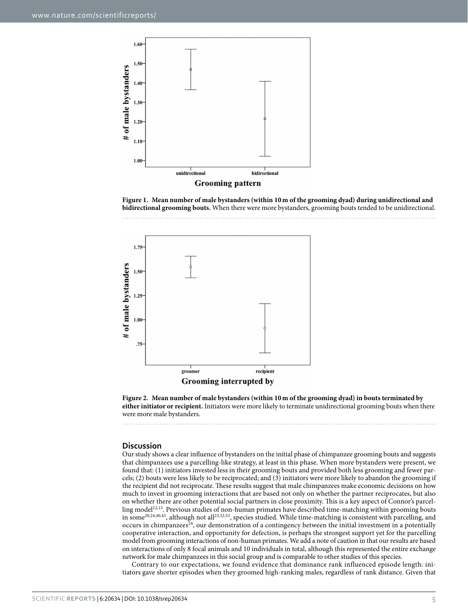

**Figure 1. Mean number of male bystanders (within 10 m of the grooming dyad) during unidirectional and bidirectional grooming bouts.** When there were more bystanders, grooming bouts tended to be unidirectional.



**Figure 2. Mean number of male bystanders (within 10 m of the grooming dyad) in bouts terminated by either initiator or recipient.** Initiators were more likely to terminate unidirectional grooming bouts when there were more male bystanders.

## **Discussion**

Our study shows a clear inluence of bystanders on the initial phase of chimpanzee grooming bouts and suggests that chimpanzees use a parcelling-like strategy, at least in this phase. When more bystanders were present, we found that: (1) initiators invested less in their grooming bouts and provided both less grooming and fewer parcels; (2) bouts were less likely to be reciprocated; and (3) initiators were more likely to abandon the grooming if the recipient did not reciprocate. These results suggest that male chimpanzees make economic decisions on how much to invest in grooming interactions that are based not only on whether the partner reciprocates, but also on whether there are other potential social partners in close proximity. This is a key aspect of Connor's parcel-ling model<sup>[12](#page-7-11)[,13](#page-7-12)</sup>. Previous studies of non-human primates have described time-matching within grooming bouts in some<sup>[20](#page-8-17)[,24](#page-8-13)[,40](#page-8-18),[43](#page-8-21)</sup>, although not all<sup>[23,](#page-8-30)52,53</sup>, species studied. While time-matching is consistent with parcelling, and occurs in chimpanzees<sup>[24](#page-8-13)</sup>, our demonstration of a contingency between the initial investment in a potentially cooperative interaction, and opportunity for defection, is perhaps the strongest support yet for the parcelling model from grooming interactions of non-human primates. We add a note of caution in that our results are based on interactions of only 8 focal animals and 10 individuals in total, although this represented the entire exchange network for male chimpanzees in this social group and is comparable to other studies of this species.

Contrary to our expectations, we found evidence that dominance rank influenced episode length: initiators gave shorter episodes when they groomed high-ranking males, regardless of rank distance. Given that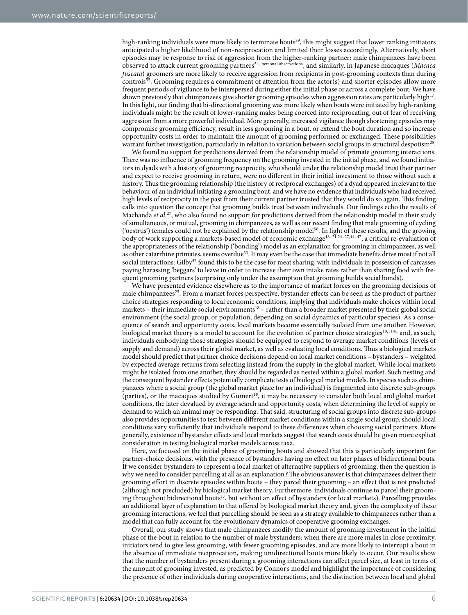high-ranking individuals were more likely to terminate bouts<sup>[39](#page-8-16)</sup>, this might suggest that lower ranking initiators anticipated a higher likelihood of non-reciprocation and limited their losses accordingly. Alternatively, short episodes may be response to risk of aggression from the higher-ranking partner: male chimpanzees have been observed to attack current grooming partners[5](#page-8-31)4, personal observations, and similarly, in Japanese macaques (Macaca fuscata) groomers are more likely to receive aggression from recipients in post-grooming contexts than during controls<sup>[5](#page-8-32)5</sup>. Grooming requires a commitment of attention from the actor(s) and shorter episodes allow more frequent periods of vigilance to be interspersed during either the initial phase or across a complete bout. We have shown previously that chimpanzees give shorter grooming episodes when aggression rates are particularly high $^{17}$  $^{17}$  $^{17}$ . In this light, our inding that bi-directional grooming was more likely when bouts were initiated by high-ranking individuals might be the result of lower-ranking males being coerced into reciprocating, out of fear of receiving aggression from a more powerful individual. More generally, increased vigilance though shortening episodes may compromise grooming efficiency, result in less grooming in a bout, or extend the bout duration and so increase opportunity costs in order to maintain the amount of grooming performed or exchanged. hese possibilities warrant further investigation, particularly in relation to variation between social groups in structural despotism $^{25}$  $^{25}$  $^{25}$ .

We found no support for predictions derived from the relationship model of primate grooming interactions. here was no inluence of grooming frequency on the grooming invested in the initial phase, and we found initiators in dyads with a history of grooming reciprocity, who should under the relationship model trust their partner and expect to receive grooming in return, were no diferent in their initial investment to those without such a history. Thus the grooming relationship (the history of reciprocal exchanges) of a dyad appeared irrelevant to the behaviour of an individual initiating a grooming bout, and we have no evidence that individuals who had received high levels of reciprocity in the past from their current partner trusted that they would do so again. This finding calls into question the concept that grooming builds trust between individuals. Our indings echo the results of Machanda *et al.*<sup>[27](#page-8-15)</sup>, who also found no support for predictions derived from the relationship model in their study of simultaneous, or mutual, grooming in chimpanzees, as well as our recent inding that male grooming of cycling ('oestrus') females could not be explained by the relationship model[5](#page-8-33)6. In light of these results, and the growing body of work supporting a markets-based model of economic exchange<sup>[18–21](#page-8-2),[24–27](#page-8-13),[44–47](#page-8-22)</sup>, a critical re-evaluation of the appropriateness of the relationship ('bonding') model as an explanation for grooming in chimpanzees, as well as other catarrhine primates, seems overdue<sup>[33](#page-8-7)</sup>. It may even be the case that immediate benefits drive most if not all social interactions: Gilby<sup>57</sup> found this to be the case for meat sharing, with individuals in possession of carcasses paying harassing 'beggars' to leave in order to increase their own intake rates rather than sharing food with frequent grooming partners (surprising only under the assumption that grooming builds social bonds).

We have presented evidence elsewhere as to the importance of market forces on the grooming decisions of male chimpanzees<sup>[25](#page-8-14)</sup>. From a market forces perspective, bystander effects can be seen as the product of partner choice strategies responding to local economic conditions, implying that individuals make choices within local markets – their immediate social environments<sup>[18](#page-8-2)</sup> – rather than a broader market presented by their global social environment (the social group, or population, depending on social dynamics of particular species). As a consequence of search and opportunity costs, local markets become essentially isolated from one another. However, biological market theory is a model to account for the evolution of partner choice strategies<sup>[10,](#page-7-9)[11,](#page-7-10)[41](#page-8-19)</sup> and, as such, individuals embodying those strategies should be equipped to respond to average market conditions (levels of supply and demand) across their global market, as well as evaluating local conditions. Thus a biological markets model should predict that partner choice decisions depend on local market conditions – bystanders – weighted by expected average returns from selecting instead from the supply in the global market. While local markets might be isolated from one another, they should be regarded as nested within a global market. Such nesting and the consequent bystander efects potentially complicate tests of biological market models. In species such as chimpanzees where a social group (the global market place for an individual) is fragmented into discrete sub-groups (parties), or the macaques studied by Gumert<sup>[18](#page-8-2)</sup>, it may be necessary to consider both local and global market conditions, the later devalued by average search and opportunity costs, when determining the level of supply or demand to which an animal may be responding. That said, structuring of social groups into discrete sub-groups also provides opportunities to test between diferent market conditions within a single social group, should local conditions vary sufficiently that individuals respond to these differences when choosing social partners. More generally, existence of bystander efects and local markets suggest that search costs should be given more explicit consideration in testing biological market models across taxa.

Here, we focused on the initial phase of grooming bouts and showed that this is particularly important for partner-choice decisions, with the presence of bystanders having no efect on later phases of bidirectional bouts. If we consider bystanders to represent a local market of alternative suppliers of grooming, then the question is why we need to consider parcelling at all as an explanation? The obvious answer is that chimpanzees deliver their grooming efort in discrete episodes within bouts – they parcel their grooming – an efect that is not predicted (although not precluded) by biological market theory. Furthermore, individuals continue to parcel their groom-ing throughout bidirectional bouts<sup>[17](#page-8-1)</sup>, but without an effect of bystanders (or local markets). Parcelling provides an additional layer of explanation to that offered by biological market theory and, given the complexity of these grooming interactions, we feel that parcelling should be seen as a strategy available to chimpanzees rather than a model that can fully account for the evolutionary dynamics of cooperative grooming exchanges.

Overall, our study shows that male chimpanzees modify the amount of grooming investment in the initial phase of the bout in relation to the number of male bystanders: when there are more males in close proximity, initiators tend to give less grooming, with fewer grooming episodes, and are more likely to interrupt a bout in the absence of immediate reciprocation, making unidirectional bouts more likely to occur. Our results show that the number of bystanders present during a grooming interactions can afect parcel size, at least in terms of the amount of grooming invested, as predicted by Connor's model and highlight the importance of considering the presence of other individuals during cooperative interactions, and the distinction between local and global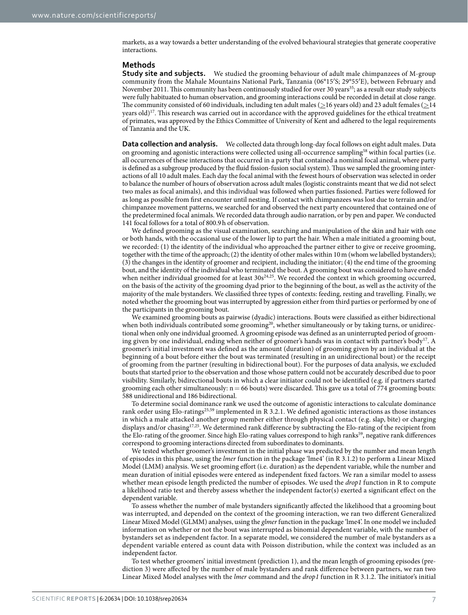markets, as a way towards a better understanding of the evolved behavioural strategies that generate cooperative interactions.

## **Methods**

**Study site and subjects.** We studied the grooming behaviour of adult male chimpanzees of M-group community from the Mahale Mountains National Park, Tanzania (06°15′S; 29°55′E), between February and November 2011. This community has been continuously studied for over 30 years<sup>[35](#page-8-9)</sup>; as a result our study subjects were fully habituated to human observation, and grooming interactions could be recorded in detail at close range. The community consisted of 60 individuals, including ten adult males ( $\geq$ 16 years old) and 23 adult females ( $\geq$ 14 years old)[17](#page-8-1). his research was carried out in accordance with the approved guidelines for the ethical treatment of primates, was approved by the Ethics Committee of University of Kent and adhered to the legal requirements of Tanzania and the UK.

**Data collection and analysis.** We collected data through long-day focal follows on eight adult males. Data on grooming and agonistic interactions were collected using all-occurrence sampling<sup>[58](#page-8-34)</sup> within focal parties (i.e. all occurrences of these interactions that occurred in a party that contained a nominal focal animal, where party is defined as a subgroup produced by the fluid fission-fusion social system). Thus we sampled the grooming interactions of all 10 adult males. Each day the focal animal with the fewest hours of observation was selected in order to balance the number of hours of observation across adult males (logistic constraints meant that we did not select two males as focal animals), and this individual was followed when parties issioned. Parties were followed for as long as possible from irst encounter until nesting. If contact with chimpanzees was lost due to terrain and/or chimpanzee movement patterns, we searched for and observed the next party encountered that contained one of the predetermined focal animals. We recorded data through audio narration, or by pen and paper. We conducted 141 focal follows for a total of 800.9 h of observation.

We defined grooming as the visual examination, searching and manipulation of the skin and hair with one or both hands, with the occasional use of the lower lip to part the hair. When a male initiated a grooming bout, we recorded: (1) the identity of the individual who approached the partner either to give or receive grooming, together with the time of the approach; (2) the identity of other males within 10 m (whom we labelled bystanders); (3) the changes in the identity of groomer and recipient, including the initiator; (4) the end time of the grooming bout, and the identity of the individual who terminated the bout. A grooming bout was considered to have ended when neither individual groomed for at least  $30s^{24,25}$  $30s^{24,25}$  $30s^{24,25}$  $30s^{24,25}$ . We recorded the context in which grooming occurred, on the basis of the activity of the grooming dyad prior to the beginning of the bout, as well as the activity of the majority of the male bystanders. We classiied three types of contexts: feeding, resting and travelling. Finally, we noted whether the grooming bout was interrupted by aggression either from third parties or performed by one of the participants in the grooming bout.

We examined grooming bouts as pairwise (dyadic) interactions. Bouts were classified as either bidirectional when both individuals contributed some grooming<sup>[20](#page-8-17)</sup>, whether simultaneously or by taking turns, or unidirectional when only one individual groomed. A grooming episode was deined as an uninterrupted period of groom-ing given by one individual, ending when neither of groomer's hands was in contact with partner's body<sup>[17](#page-8-1)</sup>. A groomer's initial investment was deined as the amount (duration) of grooming given by an individual at the beginning of a bout before either the bout was terminated (resulting in an unidirectional bout) or the receipt of grooming from the partner (resulting in bidirectional bout). For the purposes of data analysis, we excluded bouts that started prior to the observation and those whose pattern could not be accurately described due to poor visibility. Similarly, bidirectional bouts in which a clear initiator could not be identiied (e.g. if partners started grooming each other simultaneously:  $n = 66$  bouts) were discarded. This gave us a total of 774 grooming bouts: 588 unidirectional and 186 bidirectional.

<span id="page-7-1"></span><span id="page-7-0"></span>To determine social dominance rank we used the outcome of agonistic interactions to calculate dominance rank order using Elo-ratings<sup>[25,](#page-8-14)[59](#page-8-35)</sup> implemented in R 3.2.1. We defined agonistic interactions as those instances in which a male attacked another group member either through physical contact (e.g. slap, bite) or charging displays and/or chasing[17,](#page-8-1)[25](#page-8-14). We determined rank diference by subtracting the Elo-rating of the recipient from the Elo-rating of the groomer. Since high Elo-rating values correspond to high ranks<sup>[59](#page-8-35)</sup>, negative rank differences correspond to grooming interactions directed from subordinates to dominants.

<span id="page-7-6"></span><span id="page-7-5"></span><span id="page-7-4"></span><span id="page-7-3"></span><span id="page-7-2"></span>We tested whether groomer's investment in the initial phase was predicted by the number and mean length of episodes in this phase, using the lmer function in the package 'lme4' (in R 3.1.2) to perform a Linear Mixed Model (LMM) analysis. We set grooming efort (i.e. duration) as the dependent variable, while the number and mean duration of initial episodes were entered as independent ixed factors. We ran a similar model to assess whether mean episode length predicted the number of episodes. We used the *drop1* function in R to compute a likelihood ratio test and thereby assess whether the independent factor(s) exerted a signiicant efect on the dependent variable.

<span id="page-7-10"></span><span id="page-7-9"></span><span id="page-7-8"></span><span id="page-7-7"></span>To assess whether the number of male bystanders signiicantly afected the likelihood that a grooming bout was interrupted, and depended on the context of the grooming interaction, we ran two diferent Generalized Linear Mixed Model (GLMM) analyses, using the *glmer* function in the package 'lme4'. In one model we included information on whether or not the bout was interrupted as binomial dependent variable, with the number of bystanders set as independent factor. In a separate model, we considered the number of male bystanders as a dependent variable entered as count data with Poisson distribution, while the context was included as an independent factor.

<span id="page-7-14"></span><span id="page-7-13"></span><span id="page-7-12"></span><span id="page-7-11"></span>To test whether groomers' initial investment (prediction 1), and the mean length of grooming episodes (prediction 3) were afected by the number of male bystanders and rank diference between partners, we ran two Linear Mixed Model analyses with the *lmer* command and the *drop1* function in R 3.1.2. The initiator's initial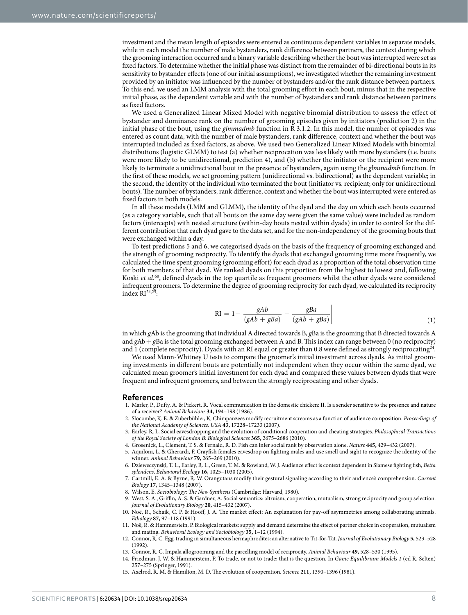<span id="page-8-17"></span><span id="page-8-3"></span><span id="page-8-2"></span><span id="page-8-1"></span><span id="page-8-0"></span>investment and the mean length of episodes were entered as continuous dependent variables in separate models, while in each model the number of male bystanders, rank diference between partners, the context during which the grooming interaction occurred and a binary variable describing whether the bout was interrupted were set as fixed factors. To determine whether the initial phase was distinct from the remainder of bi-directional bouts in its sensitivity to bystander efects (one of our initial assumptions), we investigated whether the remaining investment provided by an initiator was inluenced by the number of bystanders and/or the rank distance between partners. To this end, we used an LMM analysis with the total grooming efort in each bout, minus that in the respective initial phase, as the dependent variable and with the number of bystanders and rank distance between partners as fixed factors.

<span id="page-8-30"></span><span id="page-8-29"></span><span id="page-8-28"></span><span id="page-8-27"></span><span id="page-8-15"></span><span id="page-8-14"></span><span id="page-8-13"></span>We used a Generalized Linear Mixed Model with negative binomial distribution to assess the effect of bystander and dominance rank on the number of grooming episodes given by initiators (prediction 2) in the initial phase of the bout, using the *glmmadmb* function in R 3.1.2. In this model, the number of episodes was entered as count data, with the number of male bystanders, rank diference, context and whether the bout was interrupted included as ixed factors, as above. We used two Generalized Linear Mixed Models with binomial distributions (logistic GLMM) to test (a) whether reciprocation was less likely with more bystanders (i.e. bouts were more likely to be unidirectional, prediction 4), and (b) whether the initiator or the recipient were more likely to terminate a unidirectional bout in the presence of bystanders, again using the glmmadmb function. In the irst of these models, we set grooming pattern (unidirectional vs. bidirectional) as the dependent variable; in the second, the identity of the individual who terminated the bout (initiator vs. recipient; only for unidirectional bouts). he number of bystanders, rank diference, context and whether the bout was interrupted were entered as fixed factors in both models.

<span id="page-8-7"></span><span id="page-8-6"></span><span id="page-8-5"></span><span id="page-8-4"></span>In all these models (LMM and GLMM), the identity of the dyad and the day on which each bouts occurred (as a category variable, such that all bouts on the same day were given the same value) were included as random factors (intercepts) with nested structure (within-day bouts nested within dyads) in order to control for the different contribution that each dyad gave to the data set, and for the non-independency of the grooming bouts that were exchanged within a day.

<span id="page-8-16"></span><span id="page-8-12"></span><span id="page-8-11"></span><span id="page-8-10"></span><span id="page-8-9"></span><span id="page-8-8"></span>To test predictions 5 and 6, we categorised dyads on the basis of the frequency of grooming exchanged and the strength of grooming reciprocity. To identify the dyads that exchanged grooming time more frequently, we calculated the time spent grooming (grooming efort) for each dyad as a proportion of the total observation time for both members of that dyad. We ranked dyads on this proportion from the highest to lowest and, following Koski et al.<sup>[60](#page-8-36)</sup>, defined dyads in the top quartile as frequent groomers whilst the other dyads were considered infrequent groomers. To determine the degree of grooming reciprocity for each dyad, we calculated its reciprocity index RI<sup>[24](#page-8-13)[,25](#page-8-14)</sup>:

$$
RI = 1 - \left| \frac{gAb}{(gAb + gBa)} - \frac{gBa}{(gAb + gBa)} \right| \tag{1}
$$

<span id="page-8-22"></span><span id="page-8-21"></span><span id="page-8-20"></span><span id="page-8-19"></span><span id="page-8-18"></span>in which gAb is the grooming that individual A directed towards B, gBa is the grooming that B directed towards A and  $gAb + gBa$  is the total grooming exchanged between A and B. This index can range between 0 (no reciprocity) and 1 (complete reciprocity). Dyads with an RI equal or greater than 0.8 were defined as strongly reciprocating<sup>[24](#page-8-13)</sup>.

We used Mann-Whitney U tests to compare the groomer's initial investment across dyads. As initial grooming investments in diferent bouts are potentially not independent when they occur within the same dyad, we calculated mean groomer's initial investment for each dyad and compared these values between dyads that were frequent and infrequent groomers, and between the strongly reciprocating and other dyads.

## **References**

- <span id="page-8-24"></span><span id="page-8-23"></span>1. Marler, P., Duty, A. & Pickert, R. Vocal communication in the domestic chicken: II. Is a sender sensitive to the presence and nature of a receiver? Animal Behaviour **34,** 194–198 (1986).
- <span id="page-8-26"></span><span id="page-8-25"></span>2. Slocombe, K. E. & Zuberbühler, K. Chimpanzees modify recruitment screams as a function of audience composition. Proceedings of the National Academy of Sciences, USA **43,** 17228–17233 (2007).
- 3. Earley, R. L. Social eavesdropping and the evolution of conditional cooperation and cheating strategies. Philosophical Transactions of the Royal Society of London B: Biological Sciences **365,** 2675–2686 (2010).
- 4. Grosenick, L., Clement, T. S. & Fernald, R. D. Fish can infer social rank by observation alone. Nature **445,** 429–432 (2007).
- <span id="page-8-31"></span>5. Aquiloni, L. & Gherardi, F. Crayish females eavesdrop on ighting males and use smell and sight to recognize the identity of the winner. Animal Behaviour **79,** 265–269 (2010).
- <span id="page-8-32"></span>6. Dzieweczynski, T. L., Earley, R. L., Green, T. M. & Rowland, W. J. Audience efect is context dependent in Siamese ighting ish, Betta splendens. Behavioral Ecology **16,** 1025–1030 (2005).
- <span id="page-8-33"></span>7. Cartmill, E. A. & Byrne, R. W. Orangutans modify their gestural signaling according to their audience's comprehension. Current Biology **17,** 1345–1348 (2007).
- 8. Wilson, E. Sociobiology: The New Synthesis (Cambridge: Harvard, 1980).
- <span id="page-8-35"></span><span id="page-8-34"></span>9. West, S. A., Griin, A. S. & Gardner, A. Social semantics: altruism, cooperation, mutualism, strong reciprocity and group selection. Journal of Evolutionary Biology **20,** 415–432 (2007).
- 10. Noë, R., Schaik, C. P. & Hooff, J. A. The market effect: An explanation for pay-off asymmetries among collaborating animals. Ethology **87,** 97–118 (1991).
- <span id="page-8-36"></span>11. Noë, R. & Hammerstein, P. Biological markets: supply and demand determine the efect of partner choice in cooperation, mutualism and mating. Behavioral Ecology and Sociobiology **35,** 1–12 (1994).
- 12. Connor, R. C. Egg-trading in simultaneous hermaphrodites: an alternative to Tit-for-Tat. Journal of Evolutionary Biology **5,** 523–528 (1992).
- 13. Connor, R. C. Impala allogrooming and the parcelling model of reciprocity. Animal Behaviour **49,** 528–530 (1995).
- 14. Friedman, J. W. & Hammerstein, P. To trade, or not to trade; that is the question. In Game Equilibrium Models 1 (ed R. Selten) 257–275 (Springer, 1991).
- 15. Axelrod, R. M. & Hamilton, M. D. The evolution of cooperation. Science 211, 1390-1396 (1981).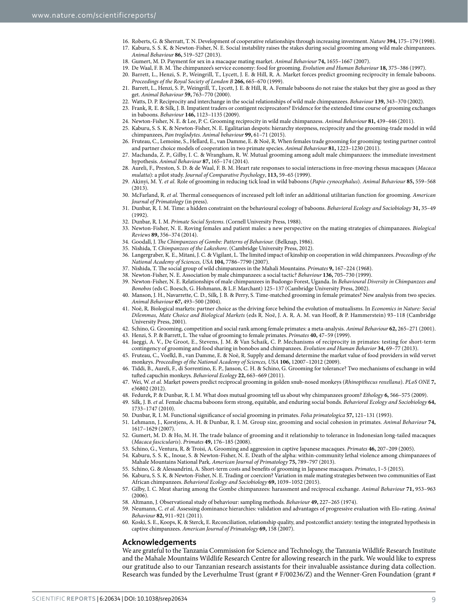- 16. Roberts, G. & Sherratt, T. N. Development of cooperative relationships through increasing investment. Nature **394,** 175–179 (1998).
- 17. Kaburu, S. S. K. & Newton-Fisher, N. E. Social instability raises the stakes during social grooming among wild male chimpanzees. Animal Behaviour **86,** 519–527 (2013).
- 18. Gumert, M. D. Payment for sex in a macaque mating market. Animal Behaviour **74,** 1655–1667 (2007).
- 19. De Waal, F. B. M. he chimpanzee's service economy: food for grooming. Evolution and Human Behaviour **18,** 375–386 (1997).
	- 20. Barrett, L., Henzi, S. P., Weingrill, T., Lycett, J. E. & Hill, R. A. Market forces predict grooming reciprocity in female baboons. Proceedings of the Royal Society of London B **266,** 665–670 (1999).
	- 21. Barrett, L., Henzi, S. P., Weingrill, T., Lycett, J. E. & Hill, R. A. Female baboons do not raise the stakes but they give as good as they get. Animal Behaviour **59,** 763–770 (2000).
	- 22. Watts, D. P. Reciprocity and interchange in the social relationships of wild male chimpanzees. Behaviour **139,** 343–370 (2002).
	- 23. Frank, R. E. & Silk, J. B. Impatient traders or contigent reciprocators? Evidence for the extended time course of grooming exchanges in baboons. Behaviour **146,** 1123–1135 (2009).
	- 24. Newton-Fisher, N. E. & Lee, P. C. Grooming reciprocity in wild male chimpanzess. Animal Behaviour **81,** 439–446 (2011).
	- 25. Kaburu, S. S. K. & Newton-Fisher, N. E. Egalitarian despots: hierarchy steepness, reciprocity and the grooming-trade model in wild chimpanzees, Pan troglodytes. Animal behaviour **99,** 61–71 (2015).
	- 26. Fruteau, C., Lemoine, S., Hellard, E., van Damme, E. & Noë, R. When females trade grooming for grooming: testing partner control and partner choice models of cooperation in two primate species. Animal Behaviour **81,** 1223–1230 (2011).
	- 27. Machanda, Z. P., Gilby, I. C. & Wrangham, R. W. Mutual grooming among adult male chimpanzees: the immediate investment hypothesis. Animal Behaviour **87,** 165–174 (2014).
	- 28. Aureli, F., Preston, S. D. & de Waal, F. B. M. Heart rate responses to social interactions in free-moving rhesus macaques (Macaca mulatta): a pilot study. Journal of Comparative Psychology, **113,** 59–65 (1999).
	- 29. Akinyi, M. Y. et al. Role of grooming in reducing tick load in wild baboons (Papio cynocephalus). Animal Behaviour **85,** 559–568 (2013).
	- 30. McFarland, R. et al. Thermal consequences of increased pelt loft infer an additional utilitarian function for grooming. American Journal of Primatology (in press).
	- 31. Dunbar, R. I. M. Time: a hidden constraint on the behavioural ecology of baboons. Behavioral Ecology and Sociobiology **31,** 35–49 (1992).
	- 32. Dunbar, R. I. M. Primate Social Systems. (Cornell University Press, 1988).
	- 33. Newton-Fisher, N. E. Roving females and patient males: a new perspective on the mating strategies of chimpanzees. Biological Reviews **89,** 356–374 (2014).
	- 34. Goodall, J. The Chimpanzees of Gombe: Patterns of Behaviour. (Belknap, 1986).
	- 35. Nishida, T. Chimpanzees of the Lakeshore. (Cambridge University Press, 2012).
	- 36. Langergraber, K. E., Mitani, J. C. & Vigilant, L. The limited impact of kinship on cooperation in wild chimpanzees. Proceedings of the National Academy of Sciences, USA **104,** 7786–7790 (2007).
	- 37. Nishida, T. The social group of wild chimpanzees in the Mahali Mountains. Primates 9, 167-224 (1968).
	- 38. Newton-Fisher, N. E. Association by male chimpanzees: a social tactic? Behaviour **136,** 705–730 (1999).
	- 39. Newton-Fisher, N. E. Relationships of male chimpanzees in Budongo Forest, Uganda. In Behavioural Diversity in Chimpanzees and Bonobos (eds C. Boesch, G. Hohmann, & L.F. Marchant) 125–137 (Cambridge University Press, 2002).
	- 40. Manson, J. H., Navarrette, C. D., Silk, J. B. & Perry, S. Time-matched grooming in female primates? New analysis from two species. Animal Behaviour **67,** 493–500 (2004).
	- 41. Noë, R. Biological markets: partner choice as the driving force behind the evolution of mutualisms. In Economics in Nature: Social Dilemmas, Mate Choice and Biological Markets (eds R. Noë, J. A. R. A. M. van Hoof, & P. Hammerstein) 93–118 (Cambridge University Press, 2001).
	- 42. Schino, G. Grooming, competition and social rank among female primates: a meta-analysis. Animal Behaviour **62,** 265–271 (2001). 43. Henzi, S. P. & Barrett, L. he value of grooming to female primates. Primates **40,** 47–59 (1999).
	- 44. Jaeggi, A. V., De Groot, E., Stevens, J. M. & Van Schaik, C. P. Mechanisms of reciprocity in primates: testing for short-term
	- contingency of grooming and food sharing in bonobos and chimpanzees. Evolution and Human Behavior **34,** 69–77 (2013). 45. Fruteau, C., Voelkl, B., van Damme, E. & Noë, R. Supply and demand determine the market value of food providers in wild vervet
	- monkeys. Proceedings of the National Academy of Sciences, USA **106,** 12007–12012 (2009). 46. Tiddi, B., Aureli, F., di Sorrentino, E. P., Janson, C. H. & Schino, G. Grooming for tolerance? Two mechanisms of exchange in wild
	- tuted capuchin monkeys. Behavioral Ecology **22,** 663–669 (2011).
	- 47. Wei, W. et al. Market powers predict reciprocal grooming in golden snub-nosed monkeys (Rhinopithecus roxellana). PLoS ONE **7,** e36802 (2012).
	- 48. Fedurek, P. & Dunbar, R. I. M. What does mutual grooming tell us about why chimpanzees groom? Ethology **6,** 566–575 (2009).
	- 49. Silk, J. B. et al. Female chacma baboons form strong, equitable, and enduring social bonds. Behavioral Ecology and Sociobiology **64,** 1733–1747 (2010).
	- 50. Dunbar, R. I. M. Functional signiicance of social grooming in primates. Folia primatologica **57,** 121–131 (1993).
	- 51. Lehmann, J., Korstjens, A. H. & Dunbar, R. I. M. Group size, grooming and social cohesion in primates. Animal Behaviour **74,** 1617–1629 (2007).
	- 52. Gumert, M. D. & Ho, M. H. he trade balance of grooming and it relationship to tolerance in Indonesian long-tailed macaques (Macaca fascicularis). Primates **49,** 176–185 (2008).
	- 53. Schino, G., Ventura, R. & Troisi, A. Grooming and aggression in captive Japanese macaques. Primates **46,** 207–209 (2005).
	- 54. Kaburu, S. S. K., Inoue, S. & Newton-Fisher, N. E. Death of the alpha: within-community lethal violence among chimpanzees of Mahale Mountains National Park. American Journal of Primatology **75,** 789–797 (2013).
	- 55. Schino, G. & Alessandrini, A. Short-term costs and beneits of grooming in Japanese macaques. Primates, 1–5 (2015).
	- 56. Kaburu, S. S. K. & Newton-Fisher, N. E. Trading or coercion? Variation in male mating strategies between two communities of East African chimpanzees. Behavioral Ecology and Sociobiology **69,** 1039–1052 (2015).
	- 57. Gilby, I. C. Meat sharing among the Gombe chimpanzees: harassment and reciprocal exchange. Animal Behaviour **71,** 953–963  $(2006)$
	- 58. Altmann, J. Observational study of behaviour: sampling methods. Behaviour **49,** 227–265 (1974).
	- 59. Neumann, C. et al. Assessing dominance hierarchies: validation and advantages of progressive evaluation with Elo-rating. Animal Behaviour **82,** 911–921 (2011).
	- 60. Koski, S. E., Koops, K. & Sterck, E. Reconciliation, relationship quality, and postconlict anxiety: testing the integrated hypothesis in captive chimpanzees. American Journal of Primatology **69,** 158 (2007).

### **Acknowledgements**

We are grateful to the Tanzania Commission for Science and Technology, the Tanzania Wildlife Research Institute and the Mahale Mountains Wildlife Research Centre for allowing research in the park. We would like to express our gratitude also to our Tanzanian research assistants for their invaluable assistance during data collection. Research was funded by the Leverhulme Trust (grant # F/00236/Z) and the Wenner-Gren Foundation (grant #